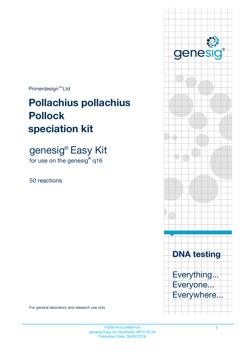$Primerdesign^{\text{TM}}Ltd$ 

# **Pollachius pollachius speciation kit Pollock**

genesig® Easy Kit for use on the genesig**®** q16

50 reactions



Primer Primer Primer

genes

 $\circledR$ 

For general laboratory and research use only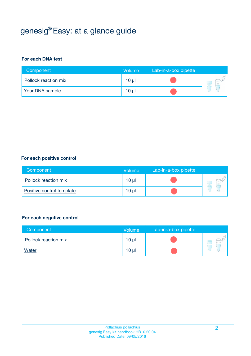## genesig® Easy: at a glance guide

#### **For each DNA test**

| Component            | <b>Volume</b>   | Lab-in-a-box pipette |  |
|----------------------|-----------------|----------------------|--|
| Pollock reaction mix | 10 <sub>µ</sub> |                      |  |
| Your DNA sample      | 10 <sub>µ</sub> |                      |  |

#### **For each positive control**

| Component                 | Volume          | Lab-in-a-box pipette |  |
|---------------------------|-----------------|----------------------|--|
| Pollock reaction mix      | 10 <sub>µ</sub> |                      |  |
| Positive control template | 10 <sub>µ</sub> |                      |  |

#### **For each negative control**

| Component            | Volume          | Lab-in-a-box pipette |  |
|----------------------|-----------------|----------------------|--|
| Pollock reaction mix | 10 <sub>µ</sub> |                      |  |
| <b>Water</b>         | 10 <sub>µ</sub> |                      |  |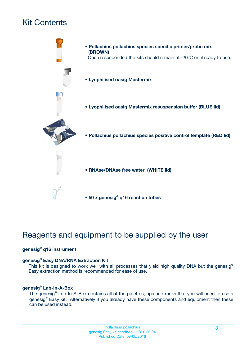## Kit Contents



- **Lyophilised oasig Mastermix**
- **Lyophilised oasig Mastermix resuspension buffer (BLUE lid)**



- **Pollachius pollachius species positive control template (RED lid)**
- **RNAse/DNAse free water (WHITE lid)**
- **50 x genesig® q16 reaction tubes**

## Reagents and equipment to be supplied by the user

#### **genesig® q16 instrument**

#### **genesig® Easy DNA/RNA Extraction Kit**

This kit is designed to work well with all processes that yield high quality DNA but the genesig**®** Easy extraction method is recommended for ease of use.

#### **genesig® Lab-In-A-Box**

The genesig**®** Lab-In-A-Box contains all of the pipettes, tips and racks that you will need to use a genesig**®** Easy kit. Alternatively if you already have these components and equipment then these can be used instead.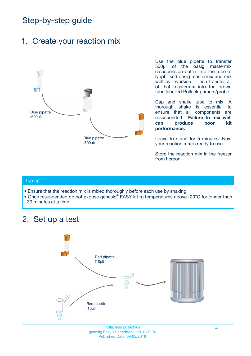## Step-by-step guide

### 1. Create your reaction mix



Use the blue pipette to transfer 500µl of the oasig mastermix resuspension buffer into the tube of lyophilised oasig mastermix and mix well by inversion. Then transfer all of that mastermix into the brown tube labelled Pollock primers/probe.

Cap and shake tube to mix. A thorough shake is essential to ensure that all components are resuspended. **Failure to mix well can produce poor kit performance.**

Leave to stand for 5 minutes. Now your reaction mix is ready to use.

Store the reaction mix in the freezer from hereon.

#### Top tip

- Ensure that the reaction mix is mixed thoroughly before each use by shaking.
- **•** Once resuspended do not expose genesig**®** EASY kit to temperatures above -20°C for longer than 30 minutes at a time.

### 2. Set up a test



Pollachius pollachius 4 genesig Easy kit handbook HB10.20.04 Published Date: 09/05/2016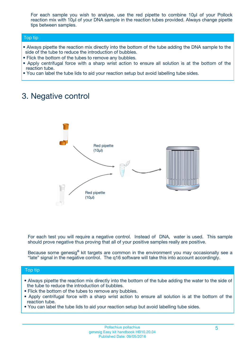For each sample you wish to analyse, use the red pipette to combine 10µl of your Pollock reaction mix with 10µl of your DNA sample in the reaction tubes provided. Always change pipette tips between samples.

#### Top tip

- **•** Always pipette the reaction mix directly into the bottom of the tube adding the DNA sample to the side of the tube to reduce the introduction of bubbles.
- Flick the bottom of the tubes to remove any bubbles.
- **•** Apply centrifugal force with a sharp wrist action to ensure all solution is at the bottom of the reaction tube.
- You can label the tube lids to aid your reaction setup but avoid labelling tube sides.

### 3. Negative control



For each test you will require a negative control. Instead of DNA, water is used. This sample should prove negative thus proving that all of your positive samples really are positive.

Because some genesig**®** kit targets are common in the environment you may occasionally see a "late" signal in the negative control. The q16 software will take this into account accordingly.

#### Top tip

- **•** Always pipette the reaction mix directly into the bottom of the tube adding the water to the side of the tube to reduce the introduction of bubbles.
- Flick the bottom of the tubes to remove any bubbles.
- **•** Apply centrifugal force with a sharp wrist action to ensure all solution is at the bottom of the reaction tube.
- You can label the tube lids to aid your reaction setup but avoid labelling tube sides.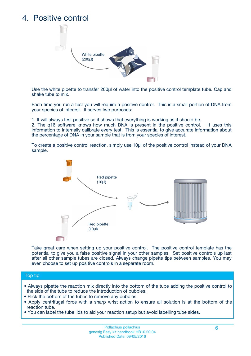### 4. Positive control



Use the white pipette to transfer 200µl of water into the positive control template tube. Cap and shake tube to mix.

Each time you run a test you will require a positive control. This is a small portion of DNA from your species of interest. It serves two purposes:

1. It will always test positive so it shows that everything is working as it should be.

2. The q16 software knows how much DNA is present in the positive control. It uses this information to internally calibrate every test. This is essential to give accurate information about the percentage of DNA in your sample that is from your species of interest.

To create a positive control reaction, simply use 10µl of the positive control instead of your DNA sample.



Take great care when setting up your positive control. The positive control template has the potential to give you a false positive signal in your other samples. Set positive controls up last after all other sample tubes are closed. Always change pipette tips between samples. You may even choose to set up positive controls in a separate room.

#### Top tip

- **•** Always pipette the reaction mix directly into the bottom of the tube adding the positive control to the side of the tube to reduce the introduction of bubbles.
- Flick the bottom of the tubes to remove any bubbles.
- **•** Apply centrifugal force with a sharp wrist action to ensure all solution is at the bottom of the reaction tube.
- You can label the tube lids to aid your reaction setup but avoid labelling tube sides.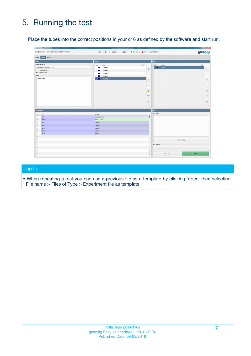## 5. Running the test

Place the tubes into the correct positions in your q16 as defined by the software and start run.

|                         | genesig q16 PCR software - 1.1                              |                                                                 |                      |                    |                      | $\vert - \vert 0 \vert - x$ |
|-------------------------|-------------------------------------------------------------|-----------------------------------------------------------------|----------------------|--------------------|----------------------|-----------------------------|
|                         | Open Experiments: Unsaved (New Experiment 2016-02-23 16:26) | New<br>Copen<br><b>B</b> Save<br>Save As<br>$\vert \cdot \vert$ | <b>O</b> Close       | X Configuration    |                      | genesig                     |
| Stages:                 | Setup<br>Results                                            |                                                                 |                      |                    |                      |                             |
| Notes                   |                                                             | Samples                                                         |                      | Tests              |                      |                             |
| <b>Name and Details</b> |                                                             | Color<br>Name                                                   | Note                 | Color              | Name                 | Note                        |
|                         | New Experiment 2016-02-23 16:26                             | Sample 1<br>T.                                                  |                      |                    | Test 1               |                             |
|                         | Instrument Id.:                                             | Sample 2                                                        | ÷                    |                    |                      | ÷                           |
|                         | Run Completion Time:                                        | Sample 3                                                        |                      |                    |                      |                             |
| <b>Notes</b>            |                                                             | Sample 4                                                        |                      |                    |                      |                             |
| Example notes           |                                                             | Sample 5                                                        | $\qquad \qquad =$    |                    |                      | $\qquad \qquad =$           |
|                         |                                                             |                                                                 |                      |                    |                      |                             |
|                         |                                                             |                                                                 |                      |                    |                      |                             |
|                         |                                                             |                                                                 |                      |                    |                      |                             |
|                         |                                                             |                                                                 | ♠                    |                    |                      | 4                           |
|                         |                                                             |                                                                 |                      |                    |                      |                             |
|                         |                                                             |                                                                 |                      |                    |                      |                             |
|                         |                                                             |                                                                 | $\ddot{\phantom{1}}$ |                    |                      | $\ddot{\triangledown}$      |
|                         |                                                             |                                                                 |                      |                    |                      |                             |
|                         |                                                             |                                                                 |                      |                    |                      |                             |
| <b>Well Contents</b>    |                                                             |                                                                 |                      | Run                |                      |                             |
| Pos.                    | Test                                                        | Sample                                                          |                      | <b>Run Status</b>  |                      |                             |
| $\blacksquare$          | Test 1                                                      | Negative Control                                                | $\vert$              |                    |                      |                             |
| $\sqrt{2}$              | Test 1                                                      | Positive Control                                                |                      |                    |                      |                             |
| $\overline{\mathbf{3}}$ | Test 1                                                      | Sample 1                                                        |                      |                    |                      |                             |
| $\overline{4}$          | Test 1                                                      | Sample 2                                                        |                      |                    |                      |                             |
| 5                       | Test 1                                                      | Sample 3                                                        |                      |                    |                      |                             |
| $\,$ 6 $\,$             | Test 1                                                      | Sample 4                                                        |                      |                    |                      |                             |
| $\overline{7}$          | Test 1                                                      | Sample 5                                                        |                      |                    |                      |                             |
| $\bf 8$                 |                                                             |                                                                 |                      |                    |                      |                             |
| 9                       |                                                             |                                                                 |                      |                    | Show full log.       |                             |
| 10                      |                                                             |                                                                 |                      |                    |                      |                             |
| 11                      |                                                             |                                                                 |                      | <b>Run Control</b> |                      |                             |
| 12                      |                                                             |                                                                 |                      |                    |                      |                             |
| 13                      |                                                             |                                                                 |                      |                    |                      |                             |
| 14<br>$\overline{a}$    |                                                             |                                                                 | 7                    |                    | <b>III</b> Abort Run | Start Run                   |
|                         |                                                             |                                                                 |                      |                    |                      |                             |

#### Top tip

• When repeating a test you can use a previous file as a template by clicking 'open' then selecting File name > Files of Type > Experiment file as template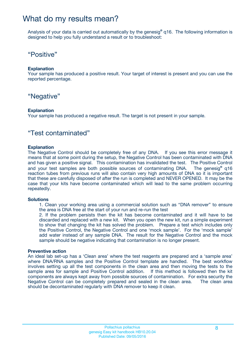### What do my results mean?

Analysis of your data is carried out automatically by the genesig**®** q16. The following information is designed to help you fully understand a result or to troubleshoot:

### "Positive"

#### **Explanation**

Your sample has produced a positive result. Your target of interest is present and you can use the reported percentage.

### "Negative"

#### **Explanation**

Your sample has produced a negative result. The target is not present in your sample.

### "Test contaminated"

#### **Explanation**

The Negative Control should be completely free of any DNA. If you see this error message it means that at some point during the setup, the Negative Control has been contaminated with DNA and has given a positive signal. This contamination has invalidated the test. The Positive Control and your test samples are both possible sources of contaminating DNA. The genesig**®** q16 reaction tubes from previous runs will also contain very high amounts of DNA so it is important that these are carefully disposed of after the run is completed and NEVER OPENED. It may be the case that your kits have become contaminated which will lead to the same problem occurring repeatedly.

#### **Solutions**

1. Clean your working area using a commercial solution such as "DNA remover" to ensure the area is DNA free at the start of your run and re-run the test

2. If the problem persists then the kit has become contaminated and it will have to be discarded and replaced with a new kit. When you open the new kit, run a simple experiment to show that changing the kit has solved the problem. Prepare a test which includes only the Positive Control, the Negative Control and one 'mock sample'. For the 'mock sample' add water instead of any sample DNA. The result for the Negative Control and the mock sample should be negative indicating that contamination is no longer present.

#### **Preventive action**

An ideal lab set-up has a 'Clean area' where the test reagents are prepared and a 'sample area' where DNA/RNA samples and the Positive Control template are handled. The best workflow involves setting up all the test components in the clean area and then moving the tests to the sample area for sample and Positive Control addition. If this method is followed then the kit components are always kept away from possible sources of contamination. For extra security the Negative Control can be completely prepared and sealed in the clean area. The clean area should be decontaminated regularly with DNA remover to keep it clean.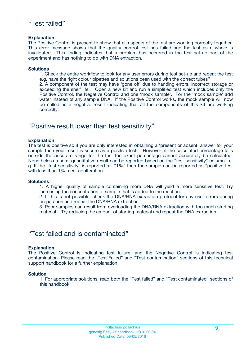### "Test failed"

#### **Explanation**

The Positive Control is present to show that all aspects of the test are working correctly together. This error message shows that the quality control test has failed and the test as a whole is invalidated. This finding indicates that a problem has occurred in the test set-up part of the experiment and has nothing to do with DNA extraction.

#### **Solutions**

1. Check the entire workflow to look for any user errors during test set-up and repeat the test e.g. have the right colour pipettes and solutions been used with the correct tubes?

2. A component of the test may have 'gone off' due to handing errors, incorrect storage or exceeding the shelf life. Open a new kit and run a simplified test which includes only the Positive Control, the Negative Control and one 'mock sample'. For the 'mock sample' add water instead of any sample DNA. If the Positive Control works, the mock sample will now be called as a negative result indicating that all the components of this kit are working correctly.

### "Positive result lower than test sensitivity"

#### **Explanation**

The test is positive so if you are only interested in obtaining a 'present or absent' answer for your sample then your result is secure as a positive test. However, if the calculated percentage falls outside the accurate range for the test the exact percentage cannot accurately be calculated. Nonetheless a semi-quantitative result can be reported based on the "test sensitivity" column. e. g. If the "test sensitivity" is reported at "1%" then the sample can be reported as "positive test with less than 1% meat adulteration.

#### **Solutions**

1. A higher quality of sample containing more DNA will yield a more sensitive test. Try increasing the concentration of sample that is added to the reaction.

2. If this is not possible, check the DNA/RNA extraction protocol for any user errors during preparation and repeat the DNA/RNA extraction.

3. Poor samples can result from overloading the DNA/RNA extraction with too much starting material. Try reducing the amount of starting material and repeat the DNA extraction.

### "Test failed and is contaminated"

#### **Explanation**

The Positive Control is indicating test failure, and the Negative Control is indicating test contamination. Please read the "Test Failed" and "Test contamination" sections of this technical support handbook for a further explanation.

#### **Solution**

1. For appropriate solutions, read both the "Test failed" and "Test contaminated" sections of this handbook.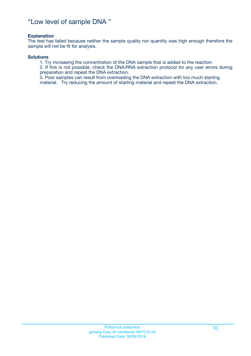### "Low level of sample DNA "

#### **Explanation**

The test has failed because neither the sample quality nor quantity was high enough therefore the sample will not be fit for analysis.

#### **Solutions**

1. Try increasing the concentration of the DNA sample that is added to the reaction.

2. If this is not possible, check the DNA/RNA extraction protocol for any user errors during preparation and repeat the DNA extraction.

3. Poor samples can result from overloading the DNA extraction with too much starting material. Try reducing the amount of starting material and repeat the DNA extraction.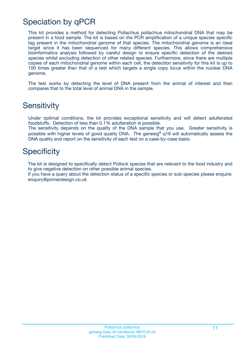## Speciation by qPCR

This kit provides a method for detecting Pollachius pollachius mitochondrial DNA that may be present in a food sample. The kit is based on the PCR amplification of a unique species specific tag present in the mitochondrial genome of that species. The mitochondrial genome is an ideal target since it has been sequenced for many different species. This allows comprehensive bioinformatics analysis followed by careful design to ensure specific detection of the desired species whilst excluding detection of other related species. Furthermore, since there are multiple copies of each mitochondrial genome within each cell, the detection sensitivity for this kit is up to 100 times greater than that of a test which targets a single copy locus within the nuclear DNA genome.

The test works by detecting the level of DNA present from the animal of interest and then compares that to the total level of animal DNA in the sample.

### **Sensitivity**

Under optimal conditions, the kit provides exceptional sensitivity and will detect adulterated foodstuffs. Detection of less than 0.1% adulteration is possible.

The sensitivity depends on the quality of the DNA sample that you use. Greater sensitivity is possible with higher levels of good quality DNA. The genesig**®** q16 will automatically assess the DNA quality and report on the sensitivity of each test on a case-by-case basis.

### **Specificity**

The kit is designed to specifically detect Pollock species that are relevant to the food industry and to give negative detection on other possible animal species.

If you have a query about the detection status of a specific species or sub-species please enquire: enquiry@primerdesign.co.uk